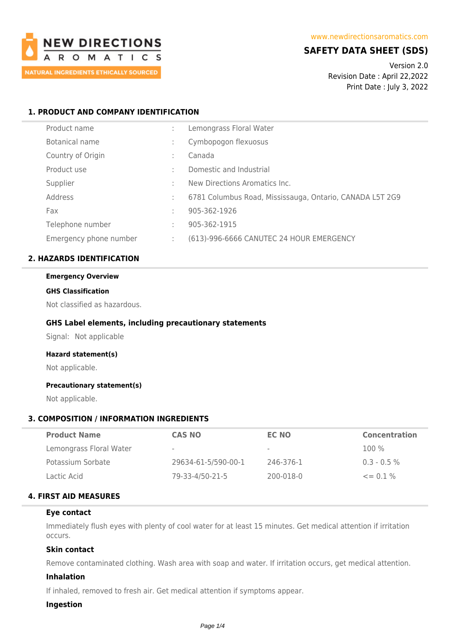

# **SAFETY DATA SHEET (SDS)**

Version 2.0 Revision Date : April 22,2022 Print Date : July 3, 2022

# **1. PRODUCT AND COMPANY IDENTIFICATION**

| Product name           | ÷ | Lemongrass Floral Water                                  |
|------------------------|---|----------------------------------------------------------|
| Botanical name         | ٠ | Cymbopogon flexuosus                                     |
| Country of Origin      | ٠ | Canada                                                   |
| Product use            | ٠ | Domestic and Industrial                                  |
| Supplier               | ٠ | New Directions Aromatics Inc.                            |
| Address                | ÷ | 6781 Columbus Road, Mississauga, Ontario, CANADA L5T 2G9 |
| Fax                    | ٠ | 905-362-1926                                             |
| Telephone number       | ٠ | 905-362-1915                                             |
| Emergency phone number |   | (613)-996-6666 CANUTEC 24 HOUR EMERGENCY                 |

# **2. HAZARDS IDENTIFICATION**

#### **Emergency Overview**

#### **GHS Classification**

Not classified as hazardous.

# **GHS Label elements, including precautionary statements**

Signal: Not applicable

# **Hazard statement(s)**

Not applicable.

# **Precautionary statement(s)**

Not applicable.

# **3. COMPOSITION / INFORMATION INGREDIENTS**

| <b>Product Name</b>     | <b>CAS NO</b>       | EC NO                    | <b>Concentration</b> |
|-------------------------|---------------------|--------------------------|----------------------|
| Lemongrass Floral Water | $\sim$              | $\overline{\phantom{a}}$ | $100\%$              |
| Potassium Sorbate       | 29634-61-5/590-00-1 | 246-376-1                | $0.3 - 0.5 \%$       |
| Lactic Acid             | 79-33-4/50-21-5     | 200-018-0                | $\leq$ 0.1%          |

# **4. FIRST AID MEASURES**

#### **Eye contact**

Immediately flush eyes with plenty of cool water for at least 15 minutes. Get medical attention if irritation occurs.

# **Skin contact**

Remove contaminated clothing. Wash area with soap and water. If irritation occurs, get medical attention.

# **Inhalation**

If inhaled, removed to fresh air. Get medical attention if symptoms appear.

# **Ingestion**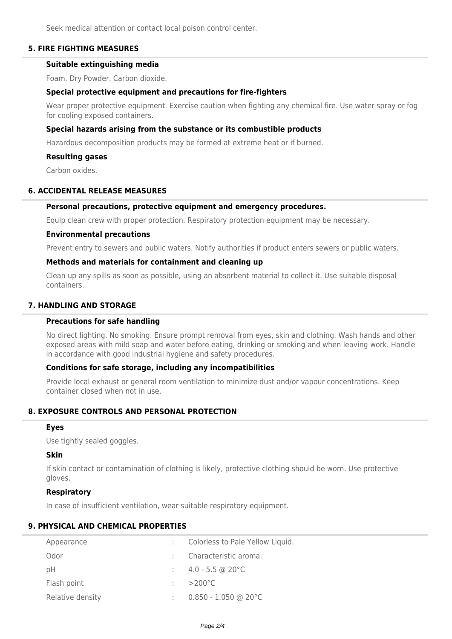Seek medical attention or contact local poison control center.

# **5. FIRE FIGHTING MEASURES**

# **Suitable extinguishing media**

Foam. Dry Powder. Carbon dioxide.

# **Special protective equipment and precautions for fire-fighters**

Wear proper protective equipment. Exercise caution when fighting any chemical fire. Use water spray or fog for cooling exposed containers.

# **Special hazards arising from the substance or its combustible products**

Hazardous decomposition products may be formed at extreme heat or if burned.

# **Resulting gases**

Carbon oxides.

# **6. ACCIDENTAL RELEASE MEASURES**

# **Personal precautions, protective equipment and emergency procedures.**

Equip clean crew with proper protection. Respiratory protection equipment may be necessary.

### **Environmental precautions**

Prevent entry to sewers and public waters. Notify authorities if product enters sewers or public waters.

# **Methods and materials for containment and cleaning up**

Clean up any spills as soon as possible, using an absorbent material to collect it. Use suitable disposal containers.

# **7. HANDLING AND STORAGE**

# **Precautions for safe handling**

No direct lighting. No smoking. Ensure prompt removal from eyes, skin and clothing. Wash hands and other exposed areas with mild soap and water before eating, drinking or smoking and when leaving work. Handle in accordance with good industrial hygiene and safety procedures.

# **Conditions for safe storage, including any incompatibilities**

Provide local exhaust or general room ventilation to minimize dust and/or vapour concentrations. Keep container closed when not in use.

# **8. EXPOSURE CONTROLS AND PERSONAL PROTECTION**

#### **Eyes**

Use tightly sealed goggles.

# **Skin**

If skin contact or contamination of clothing is likely, protective clothing should be worn. Use protective gloves.

# **Respiratory**

In case of insufficient ventilation, wear suitable respiratory equipment.

# **9. PHYSICAL AND CHEMICAL PROPERTIES**

| Appearance       | Colorless to Pale Yellow Liquid. |
|------------------|----------------------------------|
| Odor             | Characteristic aroma.            |
| рH               | $\therefore$ 4.0 - 5.5 @ 20 °C   |
| Flash point      | $>$ 200°C                        |
| Relative density | $0.850 - 1.050$ @ 20°C           |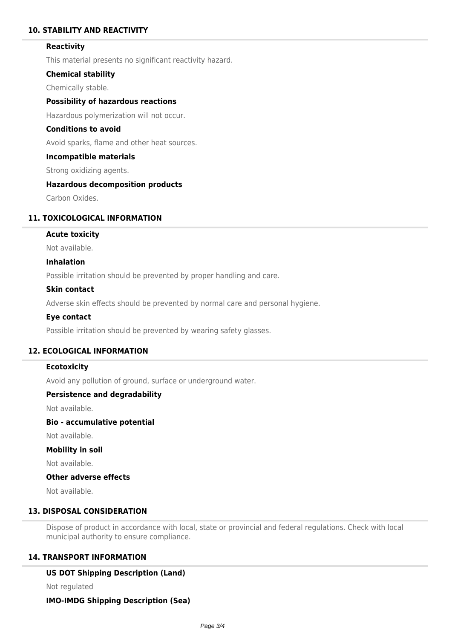# **10. STABILITY AND REACTIVITY**

### **Reactivity**

This material presents no significant reactivity hazard.

### **Chemical stability**

Chemically stable.

# **Possibility of hazardous reactions**

Hazardous polymerization will not occur.

# **Conditions to avoid**

Avoid sparks, flame and other heat sources.

#### **Incompatible materials**

Strong oxidizing agents.

# **Hazardous decomposition products**

Carbon Oxides.

# **11. TOXICOLOGICAL INFORMATION**

# **Acute toxicity**

Not available.

# **Inhalation**

Possible irritation should be prevented by proper handling and care.

### **Skin contact**

Adverse skin effects should be prevented by normal care and personal hygiene.

#### **Eye contact**

Possible irritation should be prevented by wearing safety glasses.

# **12. ECOLOGICAL INFORMATION**

#### **Ecotoxicity**

Avoid any pollution of ground, surface or underground water.

# **Persistence and degradability**

Not available.

# **Bio - accumulative potential**

Not available.

#### **Mobility in soil**

Not available.

### **Other adverse effects**

Not available.

# **13. DISPOSAL CONSIDERATION**

Dispose of product in accordance with local, state or provincial and federal regulations. Check with local municipal authority to ensure compliance.

# **14. TRANSPORT INFORMATION**

#### **US DOT Shipping Description (Land)**

Not regulated

#### **IMO-IMDG Shipping Description (Sea)**